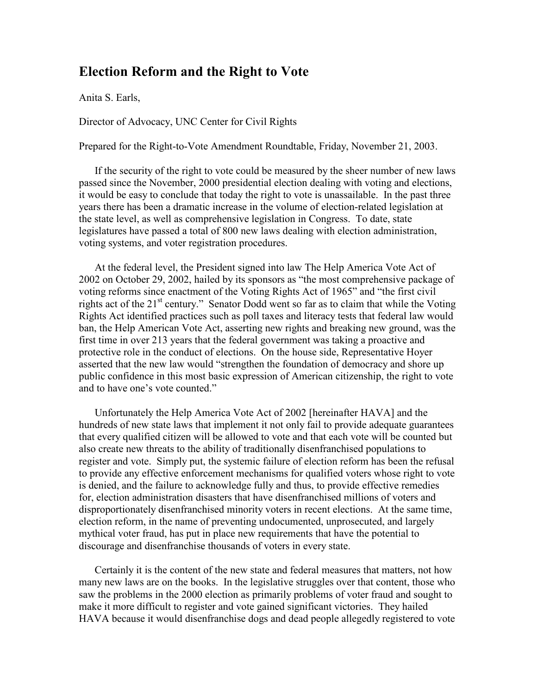# Election Reform and the Right to Vote

Anita S. Earls,

Director of Advocacy, UNC Center for Civil Rights

Prepared for the Right-to-Vote Amendment Roundtable, Friday, November 21, 2003.

If the security of the right to vote could be measured by the sheer number of new laws passed since the November, 2000 presidential election dealing with voting and elections, it would be easy to conclude that today the right to vote is unassailable. In the past three years there has been a dramatic increase in the volume of election-related legislation at the state level, as well as comprehensive legislation in Congress. To date, state legislatures have passed a total of 800 new laws dealing with election administration, voting systems, and voter registration procedures.

At the federal level, the President signed into law The Help America Vote Act of 2002 on October 29, 2002, hailed by its sponsors as "the most comprehensive package of voting reforms since enactment of the Voting Rights Act of 1965" and "the first civil rights act of the 21<sup>st</sup> century." Senator Dodd went so far as to claim that while the Voting Rights Act identified practices such as poll taxes and literacy tests that federal law would ban, the Help American Vote Act, asserting new rights and breaking new ground, was the first time in over 213 years that the federal government was taking a proactive and protective role in the conduct of elections. On the house side, Representative Hoyer asserted that the new law would "strengthen the foundation of democracy and shore up public confidence in this most basic expression of American citizenship, the right to vote and to have one's vote counted."

Unfortunately the Help America Vote Act of 2002 [hereinafter HAVA] and the hundreds of new state laws that implement it not only fail to provide adequate guarantees that every qualified citizen will be allowed to vote and that each vote will be counted but also create new threats to the ability of traditionally disenfranchised populations to register and vote. Simply put, the systemic failure of election reform has been the refusal to provide any effective enforcement mechanisms for qualified voters whose right to vote is denied, and the failure to acknowledge fully and thus, to provide effective remedies for, election administration disasters that have disenfranchised millions of voters and disproportionately disenfranchised minority voters in recent elections. At the same time, election reform, in the name of preventing undocumented, unprosecuted, and largely mythical voter fraud, has put in place new requirements that have the potential to discourage and disenfranchise thousands of voters in every state.

Certainly it is the content of the new state and federal measures that matters, not how many new laws are on the books. In the legislative struggles over that content, those who saw the problems in the 2000 election as primarily problems of voter fraud and sought to make it more difficult to register and vote gained significant victories. They hailed HAVA because it would disenfranchise dogs and dead people allegedly registered to vote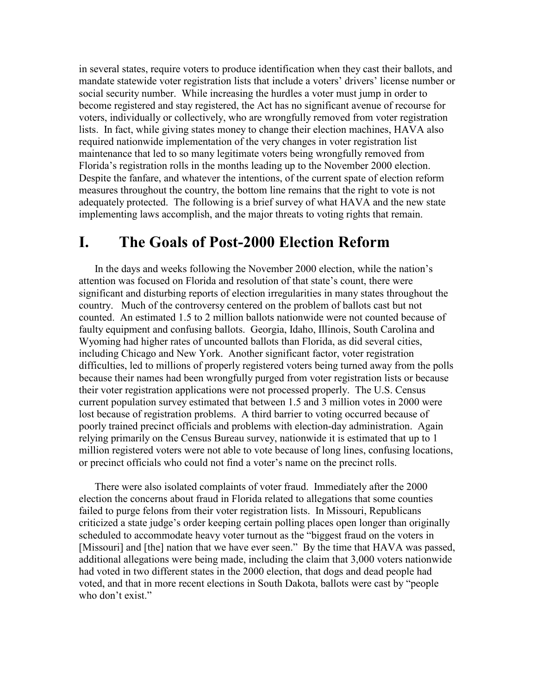in several states, require voters to produce identification when they cast their ballots, and mandate statewide voter registration lists that include a voters' drivers' license number or social security number. While increasing the hurdles a voter must jump in order to become registered and stay registered, the Act has no significant avenue of recourse for voters, individually or collectively, who are wrongfully removed from voter registration lists. In fact, while giving states money to change their election machines, HAVA also required nationwide implementation of the very changes in voter registration list maintenance that led to so many legitimate voters being wrongfully removed from Florida's registration rolls in the months leading up to the November 2000 election. Despite the fanfare, and whatever the intentions, of the current spate of election reform measures throughout the country, the bottom line remains that the right to vote is not adequately protected. The following is a brief survey of what HAVA and the new state implementing laws accomplish, and the major threats to voting rights that remain.

# I. The Goals of Post-2000 Election Reform

In the days and weeks following the November 2000 election, while the nation's attention was focused on Florida and resolution of that state's count, there were significant and disturbing reports of election irregularities in many states throughout the country. Much of the controversy centered on the problem of ballots cast but not counted. An estimated 1.5 to 2 million ballots nationwide were not counted because of faulty equipment and confusing ballots. Georgia, Idaho, Illinois, South Carolina and Wyoming had higher rates of uncounted ballots than Florida, as did several cities, including Chicago and New York. Another significant factor, voter registration difficulties, led to millions of properly registered voters being turned away from the polls because their names had been wrongfully purged from voter registration lists or because their voter registration applications were not processed properly. The U.S. Census current population survey estimated that between 1.5 and 3 million votes in 2000 were lost because of registration problems. A third barrier to voting occurred because of poorly trained precinct officials and problems with election-day administration. Again relying primarily on the Census Bureau survey, nationwide it is estimated that up to 1 million registered voters were not able to vote because of long lines, confusing locations, or precinct officials who could not find a voter's name on the precinct rolls.

There were also isolated complaints of voter fraud. Immediately after the 2000 election the concerns about fraud in Florida related to allegations that some counties failed to purge felons from their voter registration lists. In Missouri, Republicans criticized a state judge's order keeping certain polling places open longer than originally scheduled to accommodate heavy voter turnout as the "biggest fraud on the voters in [Missouri] and [the] nation that we have ever seen." By the time that HAVA was passed, additional allegations were being made, including the claim that 3,000 voters nationwide had voted in two different states in the 2000 election, that dogs and dead people had voted, and that in more recent elections in South Dakota, ballots were cast by "people who don't exist."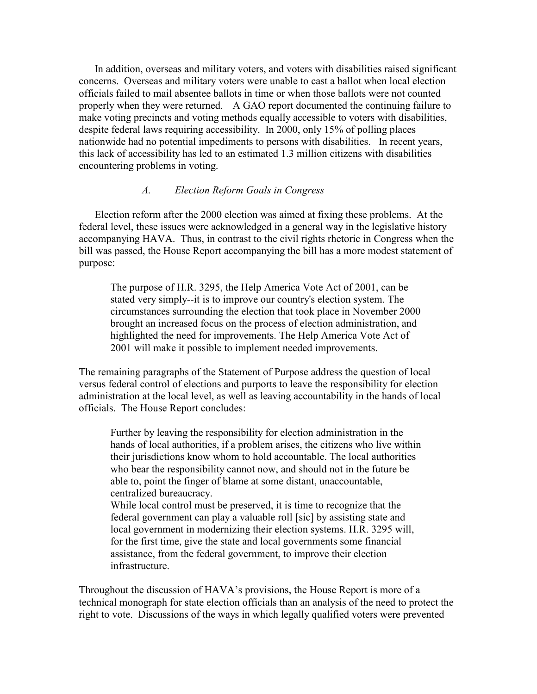In addition, overseas and military voters, and voters with disabilities raised significant concerns. Overseas and military voters were unable to cast a ballot when local election officials failed to mail absentee ballots in time or when those ballots were not counted properly when they were returned. A GAO report documented the continuing failure to make voting precincts and voting methods equally accessible to voters with disabilities, despite federal laws requiring accessibility. In 2000, only 15% of polling places nationwide had no potential impediments to persons with disabilities. In recent years, this lack of accessibility has led to an estimated 1.3 million citizens with disabilities encountering problems in voting.

### A. Election Reform Goals in Congress

Election reform after the 2000 election was aimed at fixing these problems. At the federal level, these issues were acknowledged in a general way in the legislative history accompanying HAVA. Thus, in contrast to the civil rights rhetoric in Congress when the bill was passed, the House Report accompanying the bill has a more modest statement of purpose:

The purpose of H.R. 3295, the Help America Vote Act of 2001, can be stated very simply--it is to improve our country's election system. The circumstances surrounding the election that took place in November 2000 brought an increased focus on the process of election administration, and highlighted the need for improvements. The Help America Vote Act of 2001 will make it possible to implement needed improvements.

The remaining paragraphs of the Statement of Purpose address the question of local versus federal control of elections and purports to leave the responsibility for election administration at the local level, as well as leaving accountability in the hands of local officials. The House Report concludes:

Further by leaving the responsibility for election administration in the hands of local authorities, if a problem arises, the citizens who live within their jurisdictions know whom to hold accountable. The local authorities who bear the responsibility cannot now, and should not in the future be able to, point the finger of blame at some distant, unaccountable, centralized bureaucracy.

While local control must be preserved, it is time to recognize that the federal government can play a valuable roll [sic] by assisting state and local government in modernizing their election systems. H.R. 3295 will, for the first time, give the state and local governments some financial assistance, from the federal government, to improve their election infrastructure.

Throughout the discussion of HAVA's provisions, the House Report is more of a technical monograph for state election officials than an analysis of the need to protect the right to vote. Discussions of the ways in which legally qualified voters were prevented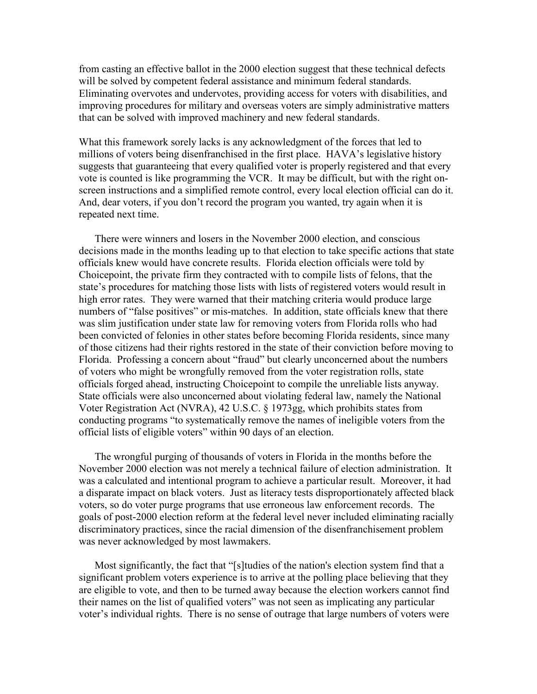from casting an effective ballot in the 2000 election suggest that these technical defects will be solved by competent federal assistance and minimum federal standards. Eliminating overvotes and undervotes, providing access for voters with disabilities, and improving procedures for military and overseas voters are simply administrative matters that can be solved with improved machinery and new federal standards.

What this framework sorely lacks is any acknowledgment of the forces that led to millions of voters being disenfranchised in the first place. HAVA's legislative history suggests that guaranteeing that every qualified voter is properly registered and that every vote is counted is like programming the VCR. It may be difficult, but with the right onscreen instructions and a simplified remote control, every local election official can do it. And, dear voters, if you don't record the program you wanted, try again when it is repeated next time.

There were winners and losers in the November 2000 election, and conscious decisions made in the months leading up to that election to take specific actions that state officials knew would have concrete results. Florida election officials were told by Choicepoint, the private firm they contracted with to compile lists of felons, that the state's procedures for matching those lists with lists of registered voters would result in high error rates. They were warned that their matching criteria would produce large numbers of "false positives" or mis-matches. In addition, state officials knew that there was slim justification under state law for removing voters from Florida rolls who had been convicted of felonies in other states before becoming Florida residents, since many of those citizens had their rights restored in the state of their conviction before moving to Florida. Professing a concern about "fraud" but clearly unconcerned about the numbers of voters who might be wrongfully removed from the voter registration rolls, state officials forged ahead, instructing Choicepoint to compile the unreliable lists anyway. State officials were also unconcerned about violating federal law, namely the National Voter Registration Act (NVRA), 42 U.S.C. § 1973gg, which prohibits states from conducting programs "to systematically remove the names of ineligible voters from the official lists of eligible voters" within 90 days of an election.

The wrongful purging of thousands of voters in Florida in the months before the November 2000 election was not merely a technical failure of election administration. It was a calculated and intentional program to achieve a particular result. Moreover, it had a disparate impact on black voters. Just as literacy tests disproportionately affected black voters, so do voter purge programs that use erroneous law enforcement records. The goals of post-2000 election reform at the federal level never included eliminating racially discriminatory practices, since the racial dimension of the disenfranchisement problem was never acknowledged by most lawmakers.

Most significantly, the fact that "[s]tudies of the nation's election system find that a significant problem voters experience is to arrive at the polling place believing that they are eligible to vote, and then to be turned away because the election workers cannot find their names on the list of qualified voters" was not seen as implicating any particular voter's individual rights. There is no sense of outrage that large numbers of voters were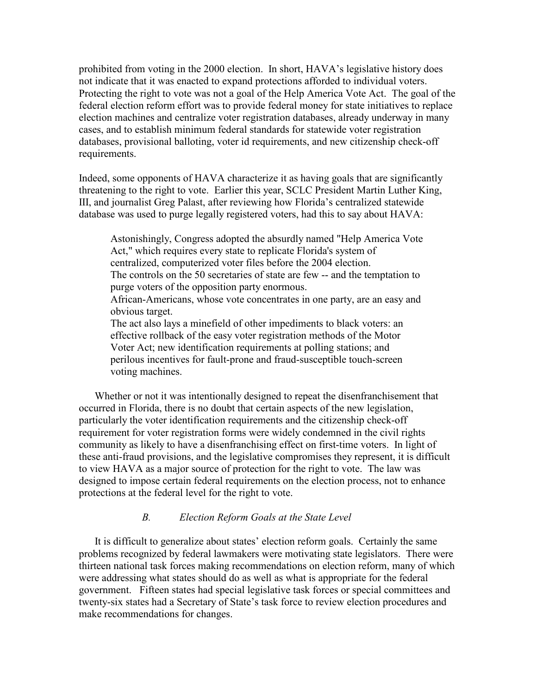prohibited from voting in the 2000 election. In short, HAVA's legislative history does not indicate that it was enacted to expand protections afforded to individual voters. Protecting the right to vote was not a goal of the Help America Vote Act. The goal of the federal election reform effort was to provide federal money for state initiatives to replace election machines and centralize voter registration databases, already underway in many cases, and to establish minimum federal standards for statewide voter registration databases, provisional balloting, voter id requirements, and new citizenship check-off requirements.

Indeed, some opponents of HAVA characterize it as having goals that are significantly threatening to the right to vote. Earlier this year, SCLC President Martin Luther King, III, and journalist Greg Palast, after reviewing how Florida's centralized statewide database was used to purge legally registered voters, had this to say about HAVA:

Astonishingly, Congress adopted the absurdly named "Help America Vote Act," which requires every state to replicate Florida's system of centralized, computerized voter files before the 2004 election. The controls on the 50 secretaries of state are few -- and the temptation to purge voters of the opposition party enormous. African-Americans, whose vote concentrates in one party, are an easy and obvious target. The act also lays a minefield of other impediments to black voters: an effective rollback of the easy voter registration methods of the Motor Voter Act; new identification requirements at polling stations; and perilous incentives for fault-prone and fraud-susceptible touch-screen voting machines.

Whether or not it was intentionally designed to repeat the disenfranchisement that occurred in Florida, there is no doubt that certain aspects of the new legislation, particularly the voter identification requirements and the citizenship check-off requirement for voter registration forms were widely condemned in the civil rights community as likely to have a disenfranchising effect on first-time voters. In light of these anti-fraud provisions, and the legislative compromises they represent, it is difficult to view HAVA as a major source of protection for the right to vote. The law was designed to impose certain federal requirements on the election process, not to enhance protections at the federal level for the right to vote.

### B. Election Reform Goals at the State Level

It is difficult to generalize about states' election reform goals. Certainly the same problems recognized by federal lawmakers were motivating state legislators. There were thirteen national task forces making recommendations on election reform, many of which were addressing what states should do as well as what is appropriate for the federal government. Fifteen states had special legislative task forces or special committees and twenty-six states had a Secretary of State's task force to review election procedures and make recommendations for changes.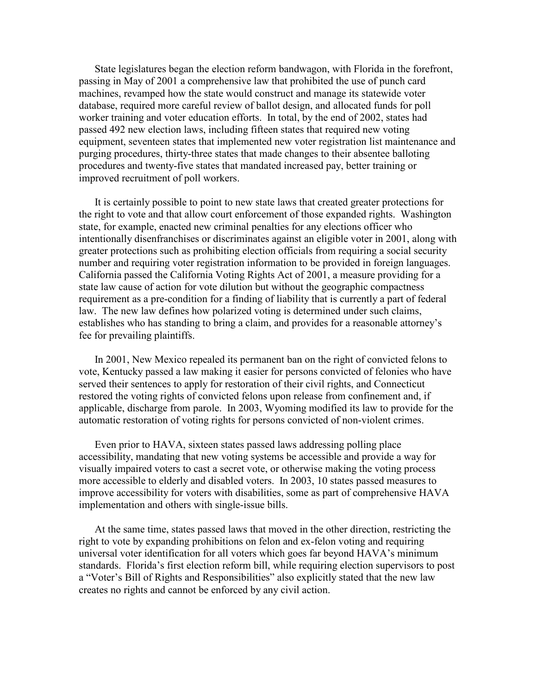State legislatures began the election reform bandwagon, with Florida in the forefront, passing in May of 2001 a comprehensive law that prohibited the use of punch card machines, revamped how the state would construct and manage its statewide voter database, required more careful review of ballot design, and allocated funds for poll worker training and voter education efforts. In total, by the end of 2002, states had passed 492 new election laws, including fifteen states that required new voting equipment, seventeen states that implemented new voter registration list maintenance and purging procedures, thirty-three states that made changes to their absentee balloting procedures and twenty-five states that mandated increased pay, better training or improved recruitment of poll workers.

It is certainly possible to point to new state laws that created greater protections for the right to vote and that allow court enforcement of those expanded rights. Washington state, for example, enacted new criminal penalties for any elections officer who intentionally disenfranchises or discriminates against an eligible voter in 2001, along with greater protections such as prohibiting election officials from requiring a social security number and requiring voter registration information to be provided in foreign languages. California passed the California Voting Rights Act of 2001, a measure providing for a state law cause of action for vote dilution but without the geographic compactness requirement as a pre-condition for a finding of liability that is currently a part of federal law. The new law defines how polarized voting is determined under such claims, establishes who has standing to bring a claim, and provides for a reasonable attorney's fee for prevailing plaintiffs.

In 2001, New Mexico repealed its permanent ban on the right of convicted felons to vote, Kentucky passed a law making it easier for persons convicted of felonies who have served their sentences to apply for restoration of their civil rights, and Connecticut restored the voting rights of convicted felons upon release from confinement and, if applicable, discharge from parole. In 2003, Wyoming modified its law to provide for the automatic restoration of voting rights for persons convicted of non-violent crimes.

Even prior to HAVA, sixteen states passed laws addressing polling place accessibility, mandating that new voting systems be accessible and provide a way for visually impaired voters to cast a secret vote, or otherwise making the voting process more accessible to elderly and disabled voters. In 2003, 10 states passed measures to improve accessibility for voters with disabilities, some as part of comprehensive HAVA implementation and others with single-issue bills.

At the same time, states passed laws that moved in the other direction, restricting the right to vote by expanding prohibitions on felon and ex-felon voting and requiring universal voter identification for all voters which goes far beyond HAVA's minimum standards. Florida's first election reform bill, while requiring election supervisors to post a "Voter's Bill of Rights and Responsibilities" also explicitly stated that the new law creates no rights and cannot be enforced by any civil action.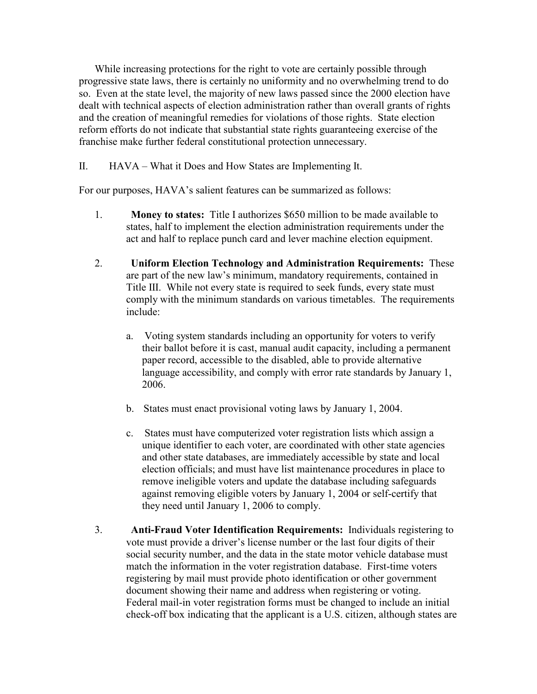While increasing protections for the right to vote are certainly possible through progressive state laws, there is certainly no uniformity and no overwhelming trend to do so. Even at the state level, the majority of new laws passed since the 2000 election have dealt with technical aspects of election administration rather than overall grants of rights and the creation of meaningful remedies for violations of those rights. State election reform efforts do not indicate that substantial state rights guaranteeing exercise of the franchise make further federal constitutional protection unnecessary.

II. HAVA – What it Does and How States are Implementing It.

For our purposes, HAVA's salient features can be summarized as follows:

- 1. Money to states: Title I authorizes \$650 million to be made available to states, half to implement the election administration requirements under the act and half to replace punch card and lever machine election equipment.
- 2. Uniform Election Technology and Administration Requirements: These are part of the new law's minimum, mandatory requirements, contained in Title III. While not every state is required to seek funds, every state must comply with the minimum standards on various timetables. The requirements include:
	- a. Voting system standards including an opportunity for voters to verify their ballot before it is cast, manual audit capacity, including a permanent paper record, accessible to the disabled, able to provide alternative language accessibility, and comply with error rate standards by January 1, 2006.
	- b. States must enact provisional voting laws by January 1, 2004.
	- c. States must have computerized voter registration lists which assign a unique identifier to each voter, are coordinated with other state agencies and other state databases, are immediately accessible by state and local election officials; and must have list maintenance procedures in place to remove ineligible voters and update the database including safeguards against removing eligible voters by January 1, 2004 or self-certify that they need until January 1, 2006 to comply.
- 3. Anti-Fraud Voter Identification Requirements: Individuals registering to vote must provide a driver's license number or the last four digits of their social security number, and the data in the state motor vehicle database must match the information in the voter registration database. First-time voters registering by mail must provide photo identification or other government document showing their name and address when registering or voting. Federal mail-in voter registration forms must be changed to include an initial check-off box indicating that the applicant is a U.S. citizen, although states are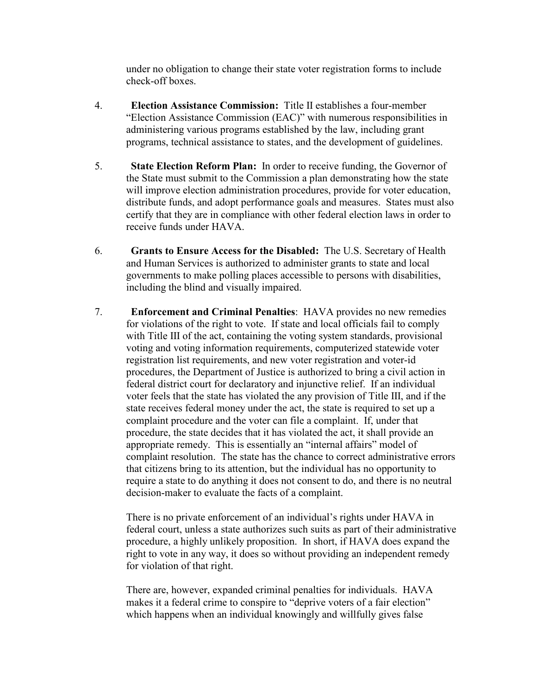under no obligation to change their state voter registration forms to include check-off boxes.

- 4. Election Assistance Commission: Title II establishes a four-member "Election Assistance Commission (EAC)" with numerous responsibilities in administering various programs established by the law, including grant programs, technical assistance to states, and the development of guidelines.
- 5. State Election Reform Plan: In order to receive funding, the Governor of the State must submit to the Commission a plan demonstrating how the state will improve election administration procedures, provide for voter education, distribute funds, and adopt performance goals and measures. States must also certify that they are in compliance with other federal election laws in order to receive funds under HAVA.
- 6. Grants to Ensure Access for the Disabled: The U.S. Secretary of Health and Human Services is authorized to administer grants to state and local governments to make polling places accessible to persons with disabilities, including the blind and visually impaired.
- 7. Enforcement and Criminal Penalties: HAVA provides no new remedies for violations of the right to vote. If state and local officials fail to comply with Title III of the act, containing the voting system standards, provisional voting and voting information requirements, computerized statewide voter registration list requirements, and new voter registration and voter-id procedures, the Department of Justice is authorized to bring a civil action in federal district court for declaratory and injunctive relief. If an individual voter feels that the state has violated the any provision of Title III, and if the state receives federal money under the act, the state is required to set up a complaint procedure and the voter can file a complaint. If, under that procedure, the state decides that it has violated the act, it shall provide an appropriate remedy. This is essentially an "internal affairs" model of complaint resolution. The state has the chance to correct administrative errors that citizens bring to its attention, but the individual has no opportunity to require a state to do anything it does not consent to do, and there is no neutral decision-maker to evaluate the facts of a complaint.

There is no private enforcement of an individual's rights under HAVA in federal court, unless a state authorizes such suits as part of their administrative procedure, a highly unlikely proposition. In short, if HAVA does expand the right to vote in any way, it does so without providing an independent remedy for violation of that right.

There are, however, expanded criminal penalties for individuals. HAVA makes it a federal crime to conspire to "deprive voters of a fair election" which happens when an individual knowingly and willfully gives false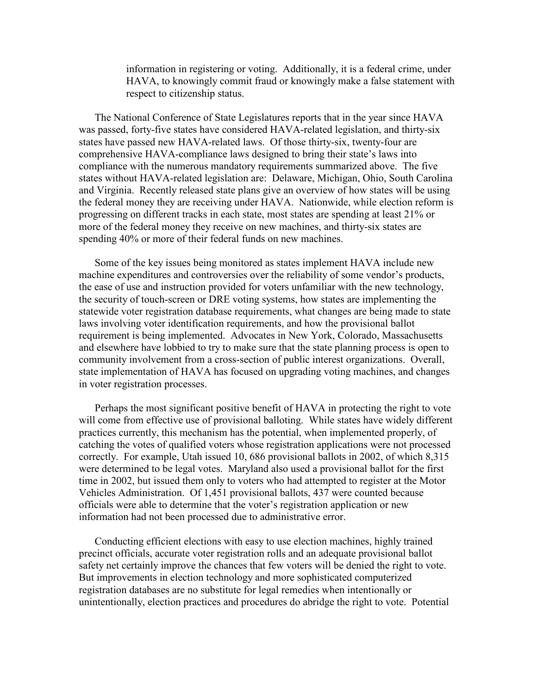information in registering or voting. Additionally, it is a federal crime, under HAVA, to knowingly commit fraud or knowingly make a false statement with respect to citizenship status.

The National Conference of State Legislatures reports that in the year since HAVA was passed, forty-five states have considered HAVA-related legislation, and thirty-six states have passed new HAVA-related laws. Of those thirty-six, twenty-four are comprehensive HAVA-compliance laws designed to bring their state's laws into compliance with the numerous mandatory requirements summarized above. The five states without HAVA-related legislation are: Delaware, Michigan, Ohio, South Carolina and Virginia. Recently released state plans give an overview of how states will be using the federal money they are receiving under HAVA. Nationwide, while election reform is progressing on different tracks in each state, most states are spending at least 21% or more of the federal money they receive on new machines, and thirty-six states are spending 40% or more of their federal funds on new machines.

Some of the key issues being monitored as states implement HAVA include new machine expenditures and controversies over the reliability of some vendor's products, the ease of use and instruction provided for voters unfamiliar with the new technology, the security of touch-screen or DRE voting systems, how states are implementing the statewide voter registration database requirements, what changes are being made to state laws involving voter identification requirements, and how the provisional ballot requirement is being implemented. Advocates in New York, Colorado, Massachusetts and elsewhere have lobbied to try to make sure that the state planning process is open to community involvement from a cross-section of public interest organizations. Overall, state implementation of HAVA has focused on upgrading voting machines, and changes in voter registration processes.

Perhaps the most significant positive benefit of HAVA in protecting the right to vote will come from effective use of provisional balloting. While states have widely different practices currently, this mechanism has the potential, when implemented properly, of catching the votes of qualified voters whose registration applications were not processed correctly. For example, Utah issued 10, 686 provisional ballots in 2002, of which 8,315 were determined to be legal votes. Maryland also used a provisional ballot for the first time in 2002, but issued them only to voters who had attempted to register at the Motor Vehicles Administration. Of 1,451 provisional ballots, 437 were counted because officials were able to determine that the voter's registration application or new information had not been processed due to administrative error.

Conducting efficient elections with easy to use election machines, highly trained precinct officials, accurate voter registration rolls and an adequate provisional ballot safety net certainly improve the chances that few voters will be denied the right to vote. But improvements in election technology and more sophisticated computerized registration databases are no substitute for legal remedies when intentionally or unintentionally, election practices and procedures do abridge the right to vote. Potential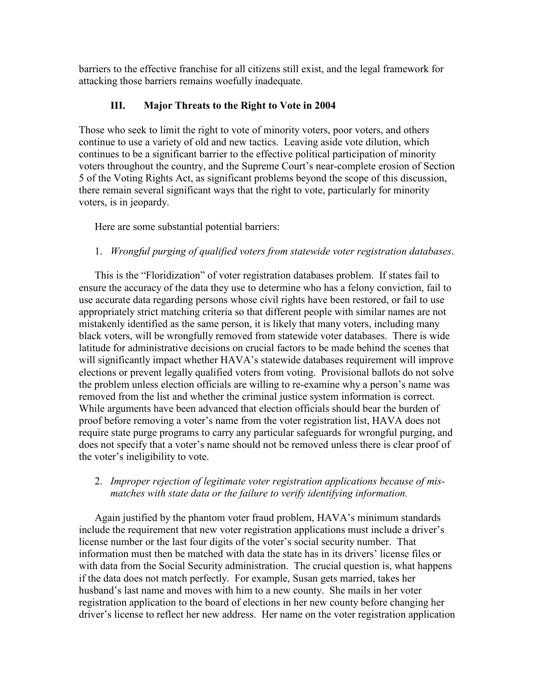barriers to the effective franchise for all citizens still exist, and the legal framework for attacking those barriers remains woefully inadequate.

## III. Major Threats to the Right to Vote in 2004

Those who seek to limit the right to vote of minority voters, poor voters, and others continue to use a variety of old and new tactics. Leaving aside vote dilution, which continues to be a significant barrier to the effective political participation of minority voters throughout the country, and the Supreme Court's near-complete erosion of Section 5 of the Voting Rights Act, as significant problems beyond the scope of this discussion, there remain several significant ways that the right to vote, particularly for minority voters, is in jeopardy.

Here are some substantial potential barriers:

## 1. Wrongful purging of qualified voters from statewide voter registration databases.

This is the "Floridization" of voter registration databases problem. If states fail to ensure the accuracy of the data they use to determine who has a felony conviction, fail to use accurate data regarding persons whose civil rights have been restored, or fail to use appropriately strict matching criteria so that different people with similar names are not mistakenly identified as the same person, it is likely that many voters, including many black voters, will be wrongfully removed from statewide voter databases. There is wide latitude for administrative decisions on crucial factors to be made behind the scenes that will significantly impact whether HAVA's statewide databases requirement will improve elections or prevent legally qualified voters from voting. Provisional ballots do not solve the problem unless election officials are willing to re-examine why a person's name was removed from the list and whether the criminal justice system information is correct. While arguments have been advanced that election officials should bear the burden of proof before removing a voter's name from the voter registration list, HAVA does not require state purge programs to carry any particular safeguards for wrongful purging, and does not specify that a voter's name should not be removed unless there is clear proof of the voter's ineligibility to vote.

## 2. Improper rejection of legitimate voter registration applications because of mismatches with state data or the failure to verify identifying information.

Again justified by the phantom voter fraud problem, HAVA's minimum standards include the requirement that new voter registration applications must include a driver's license number or the last four digits of the voter's social security number. That information must then be matched with data the state has in its drivers' license files or with data from the Social Security administration. The crucial question is, what happens if the data does not match perfectly. For example, Susan gets married, takes her husband's last name and moves with him to a new county. She mails in her voter registration application to the board of elections in her new county before changing her driver's license to reflect her new address. Her name on the voter registration application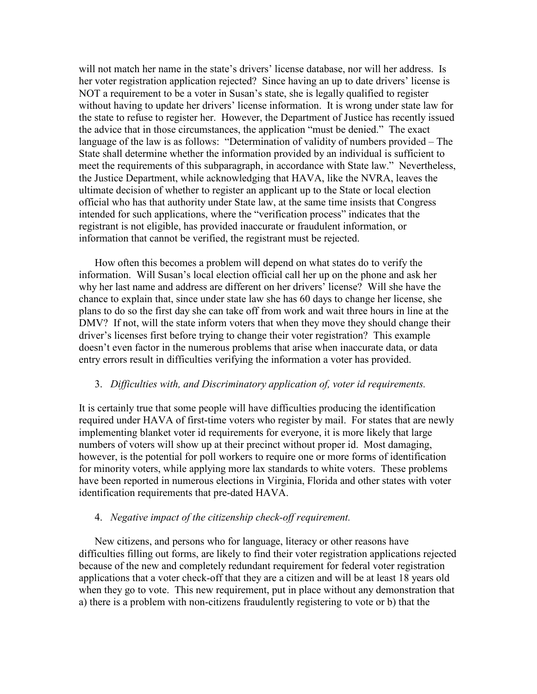will not match her name in the state's drivers' license database, nor will her address. Is her voter registration application rejected? Since having an up to date drivers' license is NOT a requirement to be a voter in Susan's state, she is legally qualified to register without having to update her drivers' license information. It is wrong under state law for the state to refuse to register her. However, the Department of Justice has recently issued the advice that in those circumstances, the application "must be denied." The exact language of the law is as follows: "Determination of validity of numbers provided – The State shall determine whether the information provided by an individual is sufficient to meet the requirements of this subparagraph, in accordance with State law." Nevertheless, the Justice Department, while acknowledging that HAVA, like the NVRA, leaves the ultimate decision of whether to register an applicant up to the State or local election official who has that authority under State law, at the same time insists that Congress intended for such applications, where the "verification process" indicates that the registrant is not eligible, has provided inaccurate or fraudulent information, or information that cannot be verified, the registrant must be rejected.

How often this becomes a problem will depend on what states do to verify the information. Will Susan's local election official call her up on the phone and ask her why her last name and address are different on her drivers' license? Will she have the chance to explain that, since under state law she has 60 days to change her license, she plans to do so the first day she can take off from work and wait three hours in line at the DMV? If not, will the state inform voters that when they move they should change their driver's licenses first before trying to change their voter registration? This example doesn't even factor in the numerous problems that arise when inaccurate data, or data entry errors result in difficulties verifying the information a voter has provided.

#### 3. Difficulties with, and Discriminatory application of, voter id requirements.

It is certainly true that some people will have difficulties producing the identification required under HAVA of first-time voters who register by mail. For states that are newly implementing blanket voter id requirements for everyone, it is more likely that large numbers of voters will show up at their precinct without proper id. Most damaging, however, is the potential for poll workers to require one or more forms of identification for minority voters, while applying more lax standards to white voters. These problems have been reported in numerous elections in Virginia, Florida and other states with voter identification requirements that pre-dated HAVA.

#### 4. Negative impact of the citizenship check-off requirement.

New citizens, and persons who for language, literacy or other reasons have difficulties filling out forms, are likely to find their voter registration applications rejected because of the new and completely redundant requirement for federal voter registration applications that a voter check-off that they are a citizen and will be at least 18 years old when they go to vote. This new requirement, put in place without any demonstration that a) there is a problem with non-citizens fraudulently registering to vote or b) that the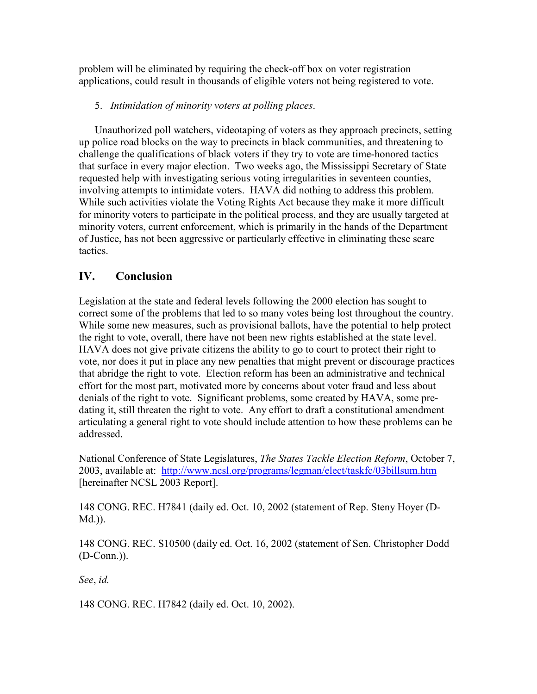problem will be eliminated by requiring the check-off box on voter registration applications, could result in thousands of eligible voters not being registered to vote.

## 5. Intimidation of minority voters at polling places.

Unauthorized poll watchers, videotaping of voters as they approach precincts, setting up police road blocks on the way to precincts in black communities, and threatening to challenge the qualifications of black voters if they try to vote are time-honored tactics that surface in every major election. Two weeks ago, the Mississippi Secretary of State requested help with investigating serious voting irregularities in seventeen counties, involving attempts to intimidate voters. HAVA did nothing to address this problem. While such activities violate the Voting Rights Act because they make it more difficult for minority voters to participate in the political process, and they are usually targeted at minority voters, current enforcement, which is primarily in the hands of the Department of Justice, has not been aggressive or particularly effective in eliminating these scare tactics.

# IV. Conclusion

Legislation at the state and federal levels following the 2000 election has sought to correct some of the problems that led to so many votes being lost throughout the country. While some new measures, such as provisional ballots, have the potential to help protect the right to vote, overall, there have not been new rights established at the state level. HAVA does not give private citizens the ability to go to court to protect their right to vote, nor does it put in place any new penalties that might prevent or discourage practices that abridge the right to vote. Election reform has been an administrative and technical effort for the most part, motivated more by concerns about voter fraud and less about denials of the right to vote. Significant problems, some created by HAVA, some predating it, still threaten the right to vote. Any effort to draft a constitutional amendment articulating a general right to vote should include attention to how these problems can be addressed.

National Conference of State Legislatures, The States Tackle Election Reform, October 7, 2003, available at: http://www.ncsl.org/programs/legman/elect/taskfc/03billsum.htm [hereinafter NCSL 2003 Report].

148 CONG. REC. H7841 (daily ed. Oct. 10, 2002 (statement of Rep. Steny Hoyer (D-Md.)).

148 CONG. REC. S10500 (daily ed. Oct. 16, 2002 (statement of Sen. Christopher Dodd (D-Conn.)).

See, id.

148 CONG. REC. H7842 (daily ed. Oct. 10, 2002).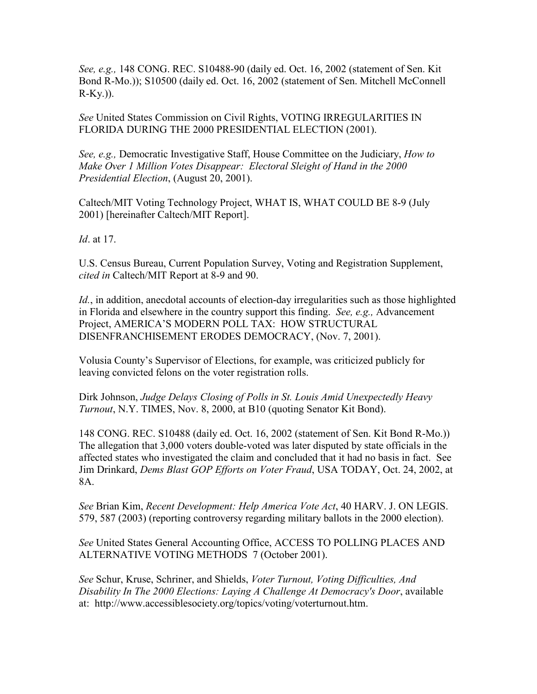See, e.g., 148 CONG. REC. S10488-90 (daily ed. Oct. 16, 2002 (statement of Sen. Kit Bond R-Mo.)); S10500 (daily ed. Oct. 16, 2002 (statement of Sen. Mitchell McConnell  $R-Ky.$ )).

See United States Commission on Civil Rights, VOTING IRREGULARITIES IN FLORIDA DURING THE 2000 PRESIDENTIAL ELECTION (2001).

See, e.g., Democratic Investigative Staff, House Committee on the Judiciary, How to Make Over 1 Million Votes Disappear: Electoral Sleight of Hand in the 2000 Presidential Election, (August 20, 2001).

Caltech/MIT Voting Technology Project, WHAT IS, WHAT COULD BE 8-9 (July 2001) [hereinafter Caltech/MIT Report].

Id. at 17.

U.S. Census Bureau, Current Population Survey, Voting and Registration Supplement, cited in Caltech/MIT Report at 8-9 and 90.

Id., in addition, anecdotal accounts of election-day irregularities such as those highlighted in Florida and elsewhere in the country support this finding. See, e.g., Advancement Project, AMERICA'S MODERN POLL TAX: HOW STRUCTURAL DISENFRANCHISEMENT ERODES DEMOCRACY, (Nov. 7, 2001).

Volusia County's Supervisor of Elections, for example, was criticized publicly for leaving convicted felons on the voter registration rolls.

Dirk Johnson, Judge Delays Closing of Polls in St. Louis Amid Unexpectedly Heavy Turnout, N.Y. TIMES, Nov. 8, 2000, at B10 (quoting Senator Kit Bond).

148 CONG. REC. S10488 (daily ed. Oct. 16, 2002 (statement of Sen. Kit Bond R-Mo.)) The allegation that 3,000 voters double-voted was later disputed by state officials in the affected states who investigated the claim and concluded that it had no basis in fact. See Jim Drinkard, Dems Blast GOP Efforts on Voter Fraud, USA TODAY, Oct. 24, 2002, at 8A.

See Brian Kim, Recent Development: Help America Vote Act, 40 HARV. J. ON LEGIS. 579, 587 (2003) (reporting controversy regarding military ballots in the 2000 election).

See United States General Accounting Office, ACCESS TO POLLING PLACES AND ALTERNATIVE VOTING METHODS 7 (October 2001).

See Schur, Kruse, Schriner, and Shields, Voter Turnout, Voting Difficulties, And Disability In The 2000 Elections: Laying A Challenge At Democracy's Door, available at: http://www.accessiblesociety.org/topics/voting/voterturnout.htm.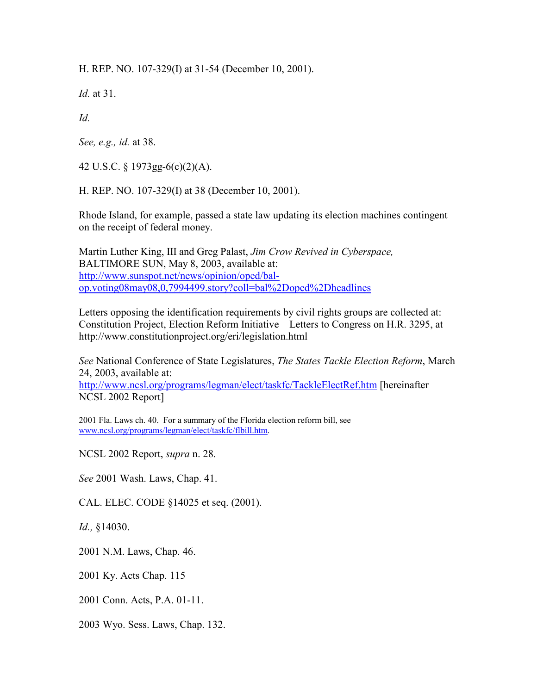H. REP. NO. 107-329(I) at 31-54 (December 10, 2001).

Id. at 31.

 $Id$ 

See, e.g., id. at 38.

42 U.S.C. § 1973gg-6(c)(2)(A).

H. REP. NO. 107-329(I) at 38 (December 10, 2001).

Rhode Island, for example, passed a state law updating its election machines contingent on the receipt of federal money.

Martin Luther King, III and Greg Palast, Jim Crow Revived in Cyberspace, BALTIMORE SUN, May 8, 2003, available at: http://www.sunspot.net/news/opinion/oped/balop.voting08may08,0,7994499.story?coll=bal%2Doped%2Dheadlines

Letters opposing the identification requirements by civil rights groups are collected at: Constitution Project, Election Reform Initiative – Letters to Congress on H.R. 3295, at http://www.constitutionproject.org/eri/legislation.html

See National Conference of State Legislatures, The States Tackle Election Reform, March 24, 2003, available at:

http://www.ncsl.org/programs/legman/elect/taskfc/TackleElectRef.htm [hereinafter NCSL 2002 Report]

2001 Fla. Laws ch. 40. For a summary of the Florida election reform bill, see www.ncsl.org/programs/legman/elect/taskfc/flbill.htm.

NCSL 2002 Report, supra n. 28.

See 2001 Wash. Laws, Chap. 41.

CAL. ELEC. CODE §14025 et seq. (2001).

Id., §14030.

2001 N.M. Laws, Chap. 46.

2001 Ky. Acts Chap. 115

2001 Conn. Acts, P.A. 01-11.

2003 Wyo. Sess. Laws, Chap. 132.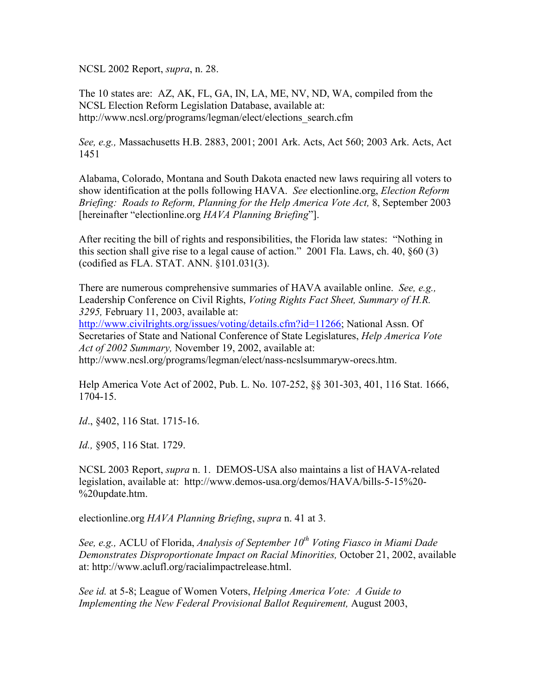NCSL 2002 Report, supra, n. 28.

The 10 states are: AZ, AK, FL, GA, IN, LA, ME, NV, ND, WA, compiled from the NCSL Election Reform Legislation Database, available at: http://www.ncsl.org/programs/legman/elect/elections\_search.cfm

See, e.g., Massachusetts H.B. 2883, 2001; 2001 Ark. Acts, Act 560; 2003 Ark. Acts, Act 1451

Alabama, Colorado, Montana and South Dakota enacted new laws requiring all voters to show identification at the polls following HAVA. See electionline.org, *Election Reform* Briefing: Roads to Reform, Planning for the Help America Vote Act, 8, September 2003 [hereinafter "electionline.org HAVA Planning Briefing"].

After reciting the bill of rights and responsibilities, the Florida law states: "Nothing in this section shall give rise to a legal cause of action." 2001 Fla. Laws, ch. 40, §60 (3) (codified as FLA. STAT. ANN. §101.031(3).

There are numerous comprehensive summaries of HAVA available online. See, e.g., Leadership Conference on Civil Rights, *Voting Rights Fact Sheet, Summary of H.R.* 3295, February 11, 2003, available at:

http://www.civilrights.org/issues/voting/details.cfm?id=11266; National Assn. Of Secretaries of State and National Conference of State Legislatures, Help America Vote Act of 2002 Summary, November 19, 2002, available at:

http://www.ncsl.org/programs/legman/elect/nass-ncslsummaryw-orecs.htm.

Help America Vote Act of 2002, Pub. L. No. 107-252, §§ 301-303, 401, 116 Stat. 1666, 1704-15.

Id., §402, 116 Stat. 1715-16.

Id., §905, 116 Stat. 1729.

NCSL 2003 Report, supra n. 1. DEMOS-USA also maintains a list of HAVA-related legislation, available at: http://www.demos-usa.org/demos/HAVA/bills-5-15%20- %20update.htm.

electionline.org HAVA Planning Briefing, supra n. 41 at 3.

See, e.g., ACLU of Florida, Analysis of September  $10^{th}$  Voting Fiasco in Miami Dade Demonstrates Disproportionate Impact on Racial Minorities, October 21, 2002, available at: http://www.aclufl.org/racialimpactrelease.html.

See id. at 5-8; League of Women Voters, Helping America Vote: A Guide to Implementing the New Federal Provisional Ballot Requirement, August 2003,